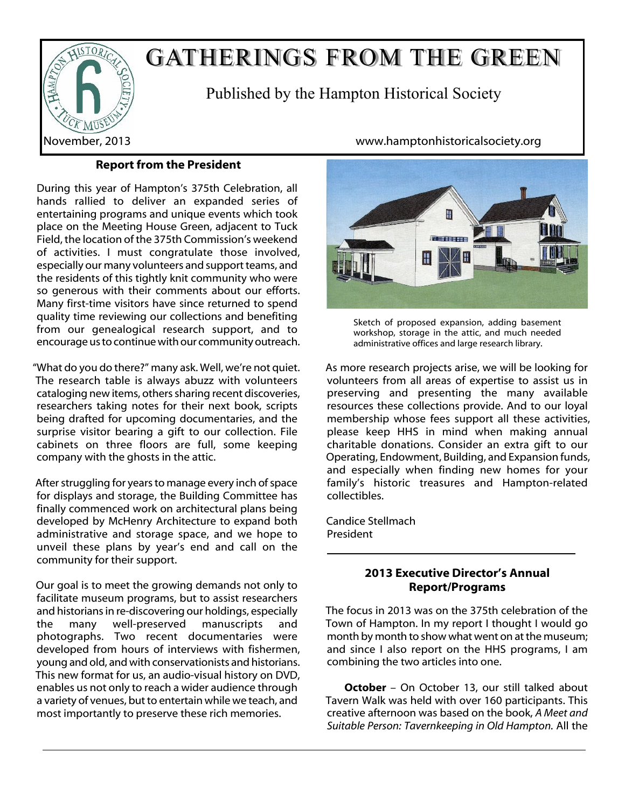

# GATHERINGS FROM THE GREEN

Published by the Hampton Historical Society

# **Report from the President**

During this year of Hampton's 375th Celebration, all hands rallied to deliver an expanded series of entertaining programs and unique events which took place on the Meeting House Green, adjacent to Tuck Field, the location of the 375th Commission's weekend of activities. I must congratulate those involved, especially our many volunteers and support teams, and the residents of this tightly knit community who were so generous with their comments about our efforts. Many first-time visitors have since returned to spend quality time reviewing our collections and benefiting from our genealogical research support, and to encourage us to continue with our community outreach.

"What do you do there?" many ask. Well, we're not quiet. The research table is always abuzz with volunteers cataloging new items, others sharing recent discoveries, researchers taking notes for their next book, scripts being drafted for upcoming documentaries, and the surprise visitor bearing a gift to our collection. File cabinets on three floors are full, some keeping company with the ghosts in the attic.

After struggling for years to manage every inch of space for displays and storage, the Building Committee has finally commenced work on architectural plans being developed by McHenry Architecture to expand both administrative and storage space, and we hope to unveil these plans by year's end and call on the community for their support.

Our goal is to meet the growing demands not only to facilitate museum programs, but to assist researchers and historians in re-discovering our holdings, especially the many well-preserved manuscripts and photographs. Two recent documentaries were developed from hours of interviews with fishermen, young and old, and with conservationists and historians. This new format for us, an audio-visual history on DVD, enables us not only to reach a wider audience through a variety of venues, but to entertain while we teach, and most importantly to preserve these rich memories.

November, 2013 www.hamptonhistoricalsociety.org



Sketch of proposed expansion, adding basement workshop, storage in the attic, and much needed administrative offices and large research library.

As more research projects arise, we will be looking for volunteers from all areas of expertise to assist us in preserving and presenting the many available resources these collections provide. And to our loyal membership whose fees support all these activities, please keep HHS in mind when making annual charitable donations. Consider an extra gift to our Operating, Endowment, Building, and Expansion funds, and especially when finding new homes for your family's historic treasures and Hampton-related collectibles.

Candice Stellmach President

# **2013 Executive Director's Annual Report/Programs**

The focus in 2013 was on the 375th celebration of the Town of Hampton. In my report I thought I would go month by month to show what went on at the museum; and since I also report on the HHS programs, I am combining the two articles into one.

**October** – On October 13, our still talked about Tavern Walk was held with over 160 participants. This creative afternoon was based on the book, *A Meet and Suitable Person: Tavernkeeping in Old Hampton.* All the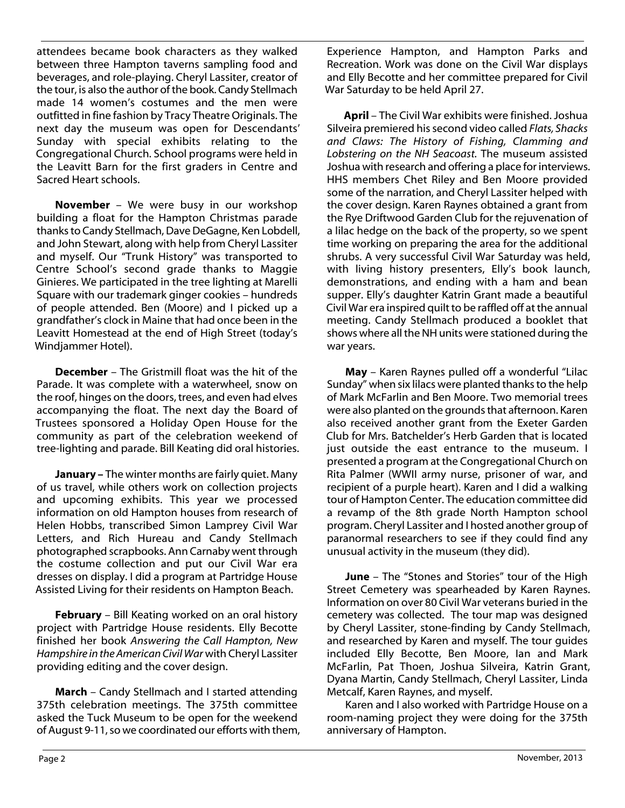attendees became book characters as they walked between three Hampton taverns sampling food and beverages, and role-playing. Cheryl Lassiter, creator of the tour, is also the author of the book. Candy Stellmach made 14 women's costumes and the men were outfitted in fine fashion by Tracy Theatre Originals. The next day the museum was open for Descendants' Sunday with special exhibits relating to the Congregational Church. School programs were held in the Leavitt Barn for the first graders in Centre and Sacred Heart schools.

**November** – We were busy in our workshop building a float for the Hampton Christmas parade thanks to Candy Stellmach, Dave DeGagne, Ken Lobdell, and John Stewart, along with help from Cheryl Lassiter and myself. Our "Trunk History" was transported to Centre School's second grade thanks to Maggie Ginieres. We participated in the tree lighting at Marelli Square with our trademark ginger cookies – hundreds of people attended. Ben (Moore) and I picked up a grandfather's clock in Maine that had once been in the Leavitt Homestead at the end of High Street (today's Windjammer Hotel).

**December** – The Gristmill float was the hit of the Parade. It was complete with a waterwheel, snow on the roof, hinges on the doors, trees, and even had elves accompanying the float. The next day the Board of Trustees sponsored a Holiday Open House for the community as part of the celebration weekend of tree-lighting and parade. Bill Keating did oral histories.

**January –** The winter months are fairly quiet. Many of us travel, while others work on collection projects and upcoming exhibits. This year we processed information on old Hampton houses from research of Helen Hobbs, transcribed Simon Lamprey Civil War Letters, and Rich Hureau and Candy Stellmach photographed scrapbooks. Ann Carnaby went through the costume collection and put our Civil War era dresses on display. I did a program at Partridge House Assisted Living for their residents on Hampton Beach.

**February** – Bill Keating worked on an oral history project with Partridge House residents. Elly Becotte finished her book *Answering the Call Hampton, New Hampshire in the American Civil War* with Cheryl Lassiter providing editing and the cover design.

**March** – Candy Stellmach and I started attending 375th celebration meetings. The 375th committee asked the Tuck Museum to be open for the weekend of August 9-11, so we coordinated our efforts with them,

Experience Hampton, and Hampton Parks and Recreation. Work was done on the Civil War displays and Elly Becotte and her committee prepared for Civil War Saturday to be held April 27.

**April** – The Civil War exhibits were finished. Joshua Silveira premiered his second video called *Flats, Shacks and Claws: The History of Fishing, Clamming and Lobstering on the NH Seacoast.* The museum assisted Joshua with research and offering a place for interviews. HHS members Chet Riley and Ben Moore provided some of the narration, and Cheryl Lassiter helped with the cover design. Karen Raynes obtained a grant from the Rye Driftwood Garden Club for the rejuvenation of a lilac hedge on the back of the property, so we spent time working on preparing the area for the additional shrubs. A very successful Civil War Saturday was held, with living history presenters, Elly's book launch, demonstrations, and ending with a ham and bean supper. Elly's daughter Katrin Grant made a beautiful Civil War era inspired quilt to be raffled off at the annual meeting. Candy Stellmach produced a booklet that shows where all the NH units were stationed during the war years.

**May** – Karen Raynes pulled off a wonderful "Lilac Sunday" when six lilacs were planted thanks to the help of Mark McFarlin and Ben Moore. Two memorial trees were also planted on the grounds that afternoon. Karen also received another grant from the Exeter Garden Club for Mrs. Batchelder's Herb Garden that is located just outside the east entrance to the museum. I presented a program at the Congregational Church on Rita Palmer (WWII army nurse, prisoner of war, and recipient of a purple heart). Karen and I did a walking tour of Hampton Center. The education committee did a revamp of the 8th grade North Hampton school program. Cheryl Lassiter and I hosted another group of paranormal researchers to see if they could find any unusual activity in the museum (they did).

**June** – The "Stones and Stories" tour of the High Street Cemetery was spearheaded by Karen Raynes. Information on over 80 Civil War veterans buried in the cemetery was collected. The tour map was designed by Cheryl Lassiter, stone-finding by Candy Stellmach, and researched by Karen and myself. The tour guides included Elly Becotte, Ben Moore, Ian and Mark McFarlin, Pat Thoen, Joshua Silveira, Katrin Grant, Dyana Martin, Candy Stellmach, Cheryl Lassiter, Linda Metcalf, Karen Raynes, and myself.

Karen and I also worked with Partridge House on a room-naming project they were doing for the 375th anniversary of Hampton.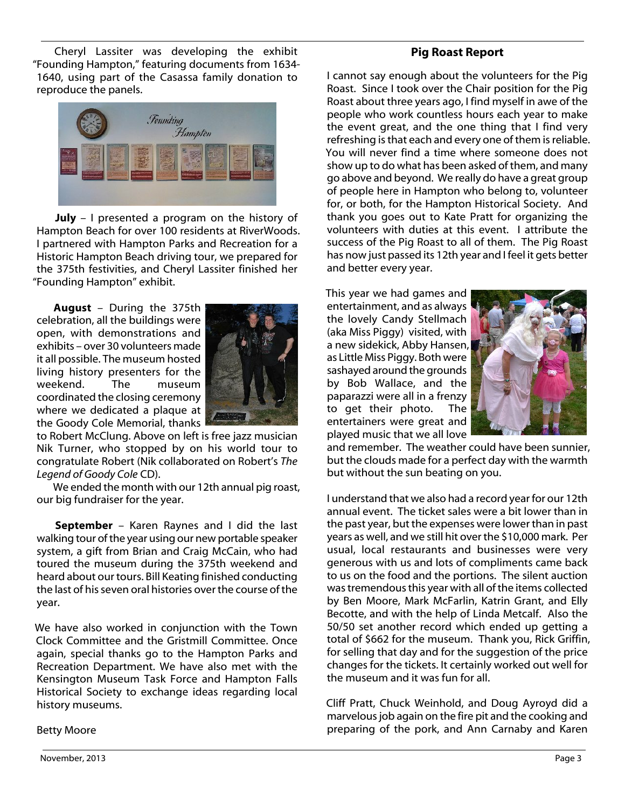Cheryl Lassiter was developing the exhibit "Founding Hampton," featuring documents from 1634- 1640, using part of the Casassa family donation to reproduce the panels.



**July** – I presented a program on the history of Hampton Beach for over 100 residents at RiverWoods. I partnered with Hampton Parks and Recreation for a Historic Hampton Beach driving tour, we prepared for the 375th festivities, and Cheryl Lassiter finished her "Founding Hampton" exhibit.

**August** – During the 375th celebration, all the buildings were open, with demonstrations and exhibits – over 30 volunteers made it all possible. The museum hosted living history presenters for the weekend. The museum coordinated the closing ceremony where we dedicated a plaque at the Goody Cole Memorial, thanks



to Robert McClung. Above on left is free jazz musician Nik Turner, who stopped by on his world tour to congratulate Robert (Nik collaborated on Robert's *The Legend of Goody Cole* CD).

We ended the month with our 12th annual pig roast, our big fundraiser for the year.

**September** – Karen Raynes and I did the last walking tour of the year using our new portable speaker system, a gift from Brian and Craig McCain, who had toured the museum during the 375th weekend and heard about our tours. Bill Keating finished conducting the last of his seven oral histories over the course of the year.

We have also worked in conjunction with the Town Clock Committee and the Gristmill Committee. Once again, special thanks go to the Hampton Parks and Recreation Department. We have also met with the Kensington Museum Task Force and Hampton Falls Historical Society to exchange ideas regarding local history museums.

## **Pig Roast Report**

I cannot say enough about the volunteers for the Pig Roast. Since I took over the Chair position for the Pig Roast about three years ago, I find myself in awe of the people who work countless hours each year to make the event great, and the one thing that I find very refreshing is that each and every one of them is reliable. You will never find a time where someone does not show up to do what has been asked of them, and many go above and beyond. We really do have a great group of people here in Hampton who belong to, volunteer for, or both, for the Hampton Historical Society. And thank you goes out to Kate Pratt for organizing the volunteers with duties at this event. I attribute the success of the Pig Roast to all of them. The Pig Roast has now just passed its 12th year and I feel it gets better and better every year.

This year we had games and entertainment, and as always the lovely Candy Stellmach (aka Miss Piggy) visited, with a new sidekick, Abby Hansen, as Little Miss Piggy. Both were sashayed around the grounds by Bob Wallace, and the paparazzi were all in a frenzy to get their photo. The entertainers were great and played music that we all love



and remember. The weather could have been sunnier, but the clouds made for a perfect day with the warmth but without the sun beating on you.

I understand that we also had a record year for our 12th annual event. The ticket sales were a bit lower than in the past year, but the expenses were lower than in past years as well, and we still hit over the \$10,000 mark. Per usual, local restaurants and businesses were very generous with us and lots of compliments came back to us on the food and the portions. The silent auction was tremendous this year with all of the items collected by Ben Moore, Mark McFarlin, Katrin Grant, and Elly Becotte, and with the help of Linda Metcalf. Also the 50/50 set another record which ended up getting a total of \$662 for the museum. Thank you, Rick Griffin, for selling that day and for the suggestion of the price changes for the tickets. It certainly worked out well for the museum and it was fun for all.

Cliff Pratt, Chuck Weinhold, and Doug Ayroyd did a marvelous job again on the fire pit and the cooking and preparing of the pork, and Ann Carnaby and Karen

Betty Moore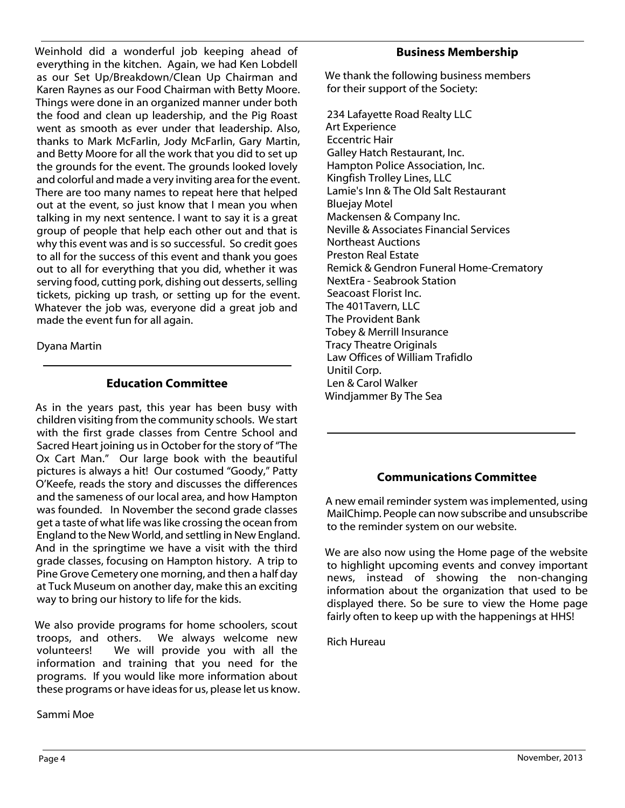Weinhold did a wonderful job keeping ahead of everything in the kitchen. Again, we had Ken Lobdell as our Set Up/Breakdown/Clean Up Chairman and Karen Raynes as our Food Chairman with Betty Moore. Things were done in an organized manner under both the food and clean up leadership, and the Pig Roast went as smooth as ever under that leadership. Also, thanks to Mark McFarlin, Jody McFarlin, Gary Martin, and Betty Moore for all the work that you did to set up the grounds for the event. The grounds looked lovely and colorful and made a very inviting area for the event. There are too many names to repeat here that helped out at the event, so just know that I mean you when talking in my next sentence. I want to say it is a great group of people that help each other out and that is why this event was and is so successful. So credit goes to all for the success of this event and thank you goes out to all for everything that you did, whether it was serving food, cutting pork, dishing out desserts, selling tickets, picking up trash, or setting up for the event. Whatever the job was, everyone did a great job and made the event fun for all again.

Dyana Martin

## **Education Committee**

As in the years past, this year has been busy with children visiting from the community schools. We start with the first grade classes from Centre School and Sacred Heart joining us in October for the story of "The Ox Cart Man." Our large book with the beautiful pictures is always a hit! Our costumed "Goody," Patty O'Keefe, reads the story and discusses the differences and the sameness of our local area, and how Hampton was founded. In November the second grade classes get a taste of what life was like crossing the ocean from England to the New World, and settling in New England. And in the springtime we have a visit with the third grade classes, focusing on Hampton history. A trip to Pine Grove Cemetery one morning, and then a half day at Tuck Museum on another day, make this an exciting way to bring our history to life for the kids.

We also provide programs for home schoolers, scout troops, and others. We always welcome new<br>volunteers! We will provide you with all the We will provide you with all the information and training that you need for the programs. If you would like more information about these programs or have ideas for us, please let us know.

Sammi Moe

#### **Business Membership**

We thank the following business members for their support of the Society:

234 Lafayette Road Realty LLC Art Experience Eccentric Hair Galley Hatch Restaurant, Inc. Hampton Police Association, Inc. Kingfish Trolley Lines, LLC Lamie's Inn & The Old Salt Restaurant Bluejay Motel Mackensen & Company Inc. Neville & Associates Financial Services Northeast Auctions Preston Real Estate Remick & Gendron Funeral Home-Crematory NextEra - Seabrook Station Seacoast Florist Inc. The 401Tavern, LLC The Provident Bank Tobey & Merrill Insurance Tracy Theatre Originals Law Offices of William Trafidlo Unitil Corp. Len & Carol Walker Windjammer By The Sea

# **Communications Committee**

A new email reminder system was implemented, using MailChimp. People can now subscribe and unsubscribe to the reminder system on our website.

We are also now using the Home page of the website to highlight upcoming events and convey important news, instead of showing the non-changing information about the organization that used to be displayed there. So be sure to view the Home page fairly often to keep up with the happenings at HHS!

Rich Hureau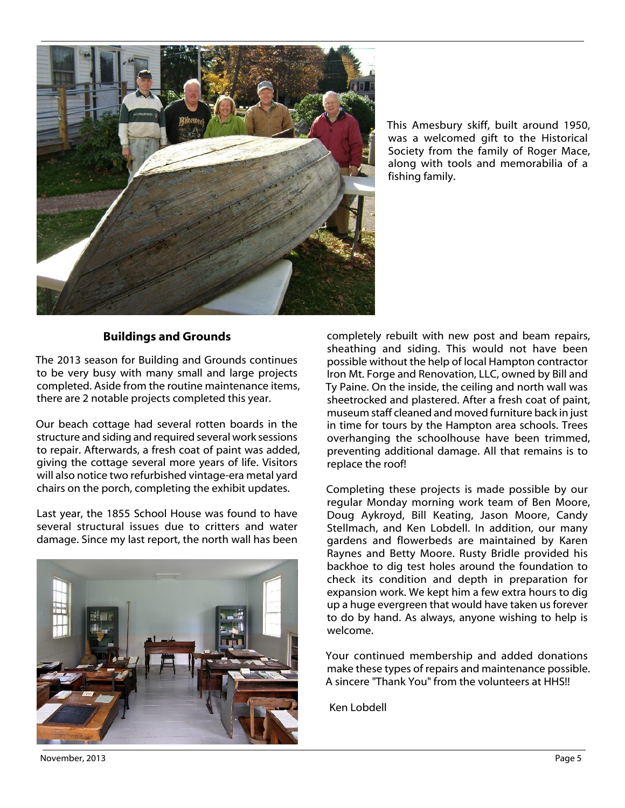

This Amesbury skiff, built around 1950, was a welcomed gift to the Historical Society from the family of Roger Mace, along with tools and memorabilia of a fishing family.

#### **Buildings and Grounds**

The 2013 season for Building and Grounds continues to be very busy with many small and large projects completed. Aside from the routine maintenance items, there are 2 notable projects completed this year.

Our beach cottage had several rotten boards in the structure and siding and required several work sessions to repair. Afterwards, a fresh coat of paint was added, giving the cottage several more years of life. Visitors will also notice two refurbished vintage-era metal yard chairs on the porch, completing the exhibit updates.

Last year, the 1855 School House was found to have several structural issues due to critters and water damage. Since my last report, the north wall has been



completely rebuilt with new post and beam repairs, sheathing and siding. This would not have been possible without the help of local Hampton contractor Iron Mt. Forge and Renovation, LLC, owned by Bill and Ty Paine. On the inside, the ceiling and north wall was sheetrocked and plastered. After a fresh coat of paint, museum staff cleaned and moved furniture back in just in time for tours by the Hampton area schools. Trees overhanging the schoolhouse have been trimmed, preventing additional damage. All that remains is to replace the roof!

Completing these projects is made possible by our regular Monday morning work team of Ben Moore, Doug Aykroyd, Bill Keating, Jason Moore, Candy Stellmach, and Ken Lobdell. In addition, our many gardens and flowerbeds are maintained by Karen Raynes and Betty Moore. Rusty Bridle provided his backhoe to dig test holes around the foundation to check its condition and depth in preparation for expansion work. We kept him a few extra hours to dig up a huge evergreen that would have taken us forever to do by hand. As always, anyone wishing to help is welcome.

Your continued membership and added donations make these types of repairs and maintenance possible. A sincere "Thank You" from the volunteers at HHS!!

Ken Lobdell

November, 2013 Page 5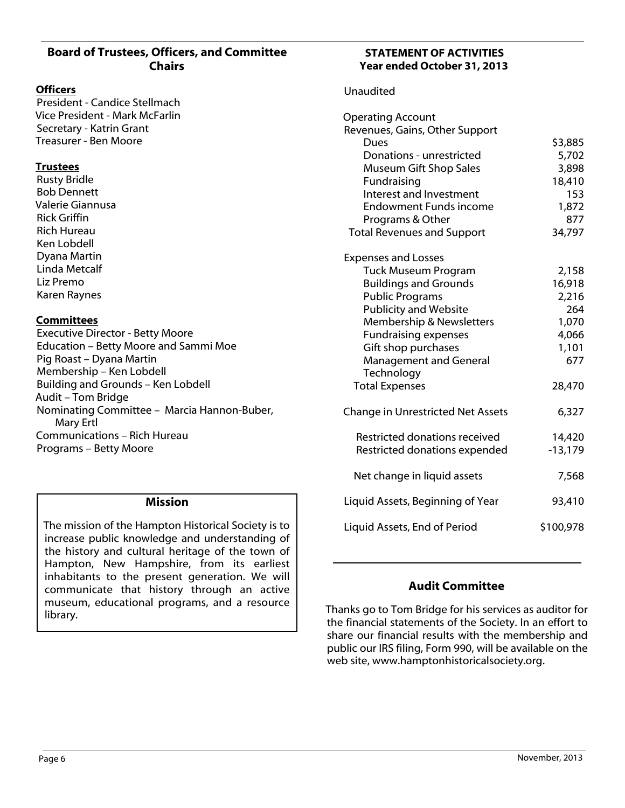# **Board of Trustees, Officers, and Committee Chairs**

#### **Officers**

President - Candice Stellmach Vice President - Mark McFarlin Secretary - Katrin Grant Treasurer - Ben Moore

#### **Trustees**

Rusty Bridle Bob Dennett Valerie Giannusa Rick Griffin Rich Hureau Ken Lobdell Dyana Martin Linda Metcalf Liz Premo Karen Raynes

#### **Committees**

Executive Director - Betty Moore Education – Betty Moore and Sammi Moe Pig Roast – Dyana Martin Membership – Ken Lobdell Building and Grounds – Ken Lobdell Audit – Tom Bridge Nominating Committee – Marcia Hannon-Buber, Mary Ertl Communications – Rich Hureau Programs – Betty Moore

#### **Mission**

The mission of the Hampton Historical Society is to increase public knowledge and understanding of the history and cultural heritage of the town of Hampton, New Hampshire, from its earliest inhabitants to the present generation. We will communicate that history through an active museum, educational programs, and a resource library.

#### **STATEMENT OF ACTIVITIES Year ended October 31, 2013**

#### Unaudited

| <b>Operating Account</b><br>Revenues, Gains, Other Support |           |
|------------------------------------------------------------|-----------|
| Dues                                                       | \$3,885   |
| Donations - unrestricted                                   | 5,702     |
| <b>Museum Gift Shop Sales</b>                              | 3,898     |
| Fundraising                                                | 18,410    |
| Interest and Investment                                    | 153       |
| <b>Endowment Funds income</b>                              | 1,872     |
| Programs & Other                                           | 877       |
| <b>Total Revenues and Support</b>                          | 34,797    |
| <b>Expenses and Losses</b>                                 |           |
| <b>Tuck Museum Program</b>                                 | 2,158     |
| <b>Buildings and Grounds</b>                               | 16,918    |
| <b>Public Programs</b>                                     | 2,216     |
| <b>Publicity and Website</b>                               | 264       |
| <b>Membership &amp; Newsletters</b>                        | 1,070     |
| <b>Fundraising expenses</b>                                | 4,066     |
| Gift shop purchases                                        | 1,101     |
| Management and General                                     | 677       |
| Technology                                                 |           |
| <b>Total Expenses</b>                                      | 28,470    |
| Change in Unrestricted Net Assets                          | 6,327     |
| Restricted donations received                              | 14,420    |
| Restricted donations expended                              | $-13,179$ |
| Net change in liquid assets                                | 7,568     |
| Liquid Assets, Beginning of Year                           | 93,410    |
| Liquid Assets, End of Period                               | \$100,978 |

# **Audit Committee**

Thanks go to Tom Bridge for his services as auditor for the financial statements of the Society. In an effort to share our financial results with the membership and public our IRS filing, Form 990, will be available on the web site, www.hamptonhistoricalsociety.org.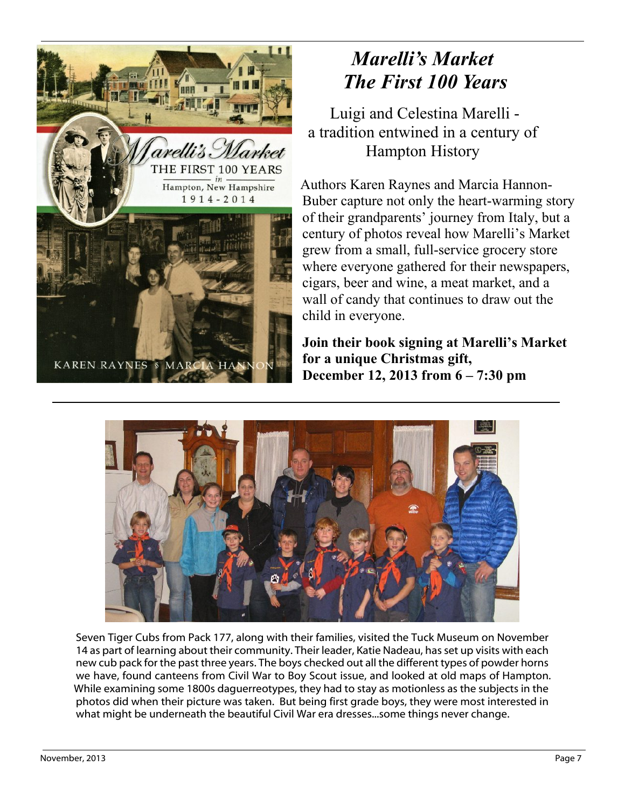

# *Marelli's Market The First 100 Years*

Luigi and Celestina Marelli a tradition entwined in a century of Hampton History

Authors Karen Raynes and Marcia Hannon-Buber capture not only the heart-warming story of their grandparents' journey from Italy, but a century of photos reveal how Marelli's Market grew from a small, full-service grocery store where everyone gathered for their newspapers, cigars, beer and wine, a meat market, and a wall of candy that continues to draw out the child in everyone.

**Join their book signing at Marelli's Market for a unique Christmas gift, December 12, 2013 from 6 – 7:30 pm**



Seven Tiger Cubs from Pack 177, along with their families, visited the Tuck Museum on November 14 as part of learning about their community. Their leader, Katie Nadeau, has set up visits with each new cub pack for the past three years. The boys checked out all the different types of powder horns we have, found canteens from Civil War to Boy Scout issue, and looked at old maps of Hampton. While examining some 1800s daguerreotypes, they had to stay as motionless as the subjects in the photos did when their picture was taken. But being first grade boys, they were most interested in what might be underneath the beautiful Civil War era dresses...some things never change.